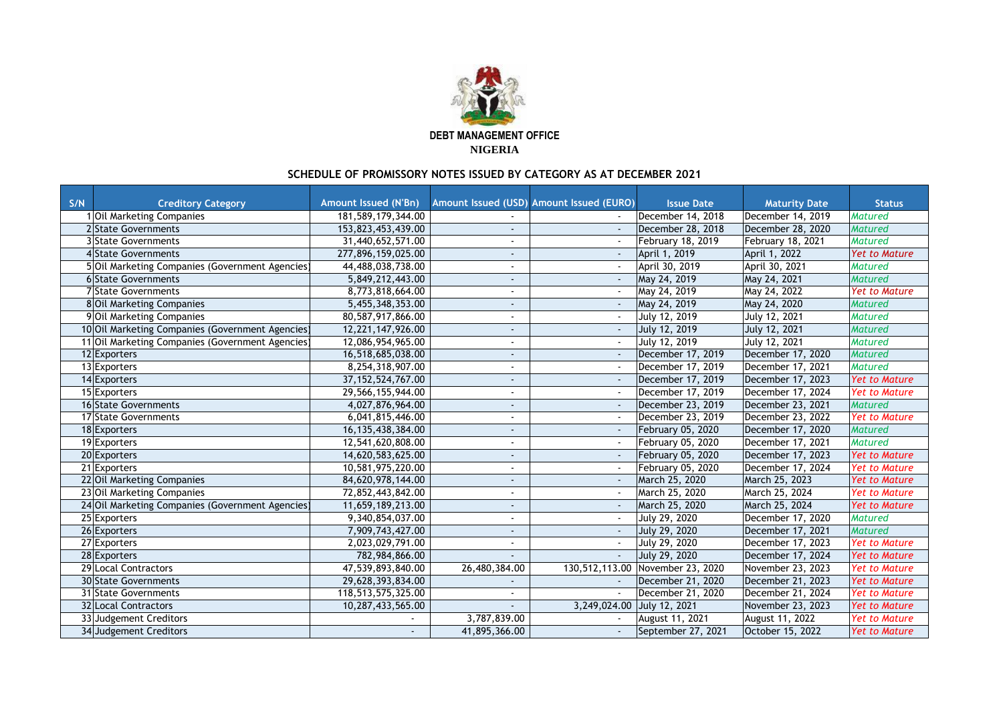| S/N | <b>Creditory Category</b>                        | <b>Amount Issued (N'Bn)</b> |                          | Amount Issued (USD) Amount Issued (EURO) | <b>Issue Date</b>        | <b>Maturity Date</b>     | <b>Status</b>        |
|-----|--------------------------------------------------|-----------------------------|--------------------------|------------------------------------------|--------------------------|--------------------------|----------------------|
|     | <b>Oil Marketing Companies</b>                   | 181,589,179,344.00          |                          |                                          | December 14, 2018        | December 14, 2019        | <b>Matured</b>       |
|     | 2 State Governments                              | 153,823,453,439.00          |                          |                                          | December 28, 2018        | December 28, 2020        | Matured              |
|     | <b>3</b> State Governments                       | 31,440,652,571.00           |                          |                                          | <b>February 18, 2019</b> | <b>February 18, 2021</b> | <b>Matured</b>       |
|     | 4State Governments                               | 277,896,159,025.00          |                          |                                          | April 1, 2019            | April 1, 2022            | <b>Yet to Mature</b> |
|     | 5 Oil Marketing Companies (Government Agencies)  | 44,488,038,738.00           | $\blacksquare$           |                                          | April 30, 2019           | April 30, 2021           | <b>Matured</b>       |
|     | 6 State Governments                              | 5,849,212,443.00            |                          |                                          | May 24, 2019             | May 24, 2021             | <b>Matured</b>       |
|     | 7 State Governments                              | 8,773,818,664.00            |                          |                                          | May 24, 2019             | May 24, 2022             | <b>Yet to Mature</b> |
|     | 8 Oil Marketing Companies                        | 5,455,348,353.00            | $\sim$                   |                                          | May 24, 2019             | May 24, 2020             | <b>Matured</b>       |
|     | 9 Oil Marketing Companies                        | 80,587,917,866.00           |                          |                                          | July 12, 2019            | <b>July 12, 2021</b>     | <b>Matured</b>       |
|     | 10 Oil Marketing Companies (Government Agencies) | 12,221,147,926.00           |                          |                                          | July 12, 2019            | <b>July 12, 2021</b>     | <b>Matured</b>       |
|     | 11 Oil Marketing Companies (Government Agencies) | 12,086,954,965.00           |                          |                                          | July 12, 2019            | July 12, 2021            | <b>Matured</b>       |
|     | 12 Exporters                                     | 16,518,685,038.00           | $\sim$                   |                                          | December 17, 2019        | December 17, 2020        | Matured              |
|     | 13 Exporters                                     | 8,254,318,907.00            |                          |                                          | December 17, 2019        | December 17, 2021        | <b>Matured</b>       |
|     | 14 Exporters                                     | 37, 152, 524, 767.00        | $\sim$                   |                                          | December 17, 2019        | December 17, 2023        | <b>Yet to Mature</b> |
|     | 15 Exporters                                     | 29,566,155,944.00           |                          |                                          | December 17, 2019        | December 17, 2024        | <b>Yet to Mature</b> |
|     | 16 State Governments                             | 4,027,876,964.00            | $\sim$                   |                                          | December 23, 2019        | December 23, 2021        | Matured              |
|     | 17 State Governments                             | 6,041,815,446.00            |                          |                                          | December 23, 2019        | December 23, 2022        | <b>Yet to Mature</b> |
|     | 18 Exporters                                     | 16,135,438,384.00           |                          |                                          | February 05, 2020        | December 17, 2020        | Matured              |
|     | 19 Exporters                                     | 12,541,620,808.00           |                          |                                          | <b>February 05, 2020</b> | December 17, 2021        | <b>Matured</b>       |
|     | 20 Exporters                                     | 14,620,583,625.00           | $\sim$                   |                                          | February 05, 2020        | December 17, 2023        | <b>Yet to Mature</b> |
|     | 21 Exporters                                     | 10,581,975,220.00           |                          |                                          | February 05, 2020        | December 17, 2024        | <b>Yet to Mature</b> |
|     | 22 Oil Marketing Companies                       | 84,620,978,144.00           |                          |                                          | March 25, 2020           | March 25, 2023           | <b>Yet to Mature</b> |
|     | 23 Oil Marketing Companies                       | 72,852,443,842.00           |                          |                                          | March 25, 2020           | March 25, 2024           | <b>Yet to Mature</b> |
|     | 24 Oil Marketing Companies (Government Agencies) | 11,659,189,213.00           | $\overline{\phantom{a}}$ |                                          | March 25, 2020           | March 25, 2024           | <b>Yet to Mature</b> |
|     | 25 Exporters                                     | 9,340,854,037.00            |                          |                                          | July 29, 2020            | December 17, 2020        | <b>Matured</b>       |
|     | 26 Exporters                                     | 7,909,743,427.00            |                          |                                          | July 29, 2020            | December 17, 2021        | Matured              |
|     | 27 Exporters                                     | 2,023,029,791.00            |                          |                                          | July 29, 2020            | December 17, 2023        | <b>Yet to Mature</b> |
|     | 28 Exporters                                     | 782,984,866.00              |                          |                                          | July 29, 2020            | December 17, 2024        | <b>Yet to Mature</b> |
|     | 29 Local Contractors                             | 47,539,893,840.00           | 26,480,384.00            | 130,512,113.00                           | November 23, 2020        | November 23, 2023        | <b>Yet to Mature</b> |
|     | <b>30 State Governments</b>                      | 29,628,393,834.00           |                          |                                          | December 21, 2020        | December 21, 2023        | <b>Yet to Mature</b> |
|     | <b>31 State Governments</b>                      | 118,513,575,325.00          |                          |                                          | December 21, 2020        | December 21, 2024        | <b>Yet to Mature</b> |
|     | <b>32 Local Contractors</b>                      | 10,287,433,565.00           |                          | 3,249,024.00                             | July 12, 2021            | November 23, 2023        | <b>Yet to Mature</b> |
|     | 33 Judgement Creditors                           |                             | 3,787,839.00             |                                          | August 11, 2021          | <b>August 11, 2022</b>   | <b>Yet to Mature</b> |
|     | 34 Judgement Creditors                           | $\sim$ .                    | 41,895,366.00            |                                          | September 27, 2021       | October 15, 2022         | <b>Yet to Mature</b> |



**DEBT MANAGEMENT OFFICE NIGERIA**

## **SCHEDULE OF PROMISSORY NOTES ISSUED BY CATEGORY AS AT DECEMBER 2021**